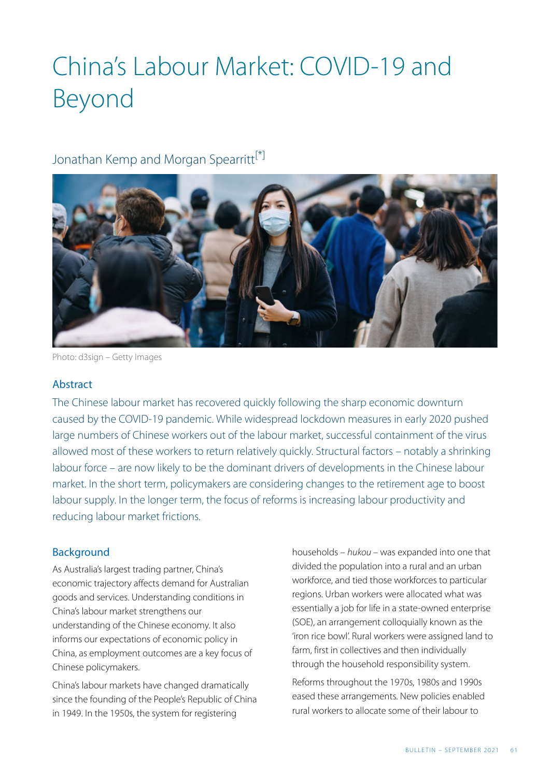# China's Labour Market: COVID-19 and Beyond

### <span id="page-0-0"></span>Jonathan Kemp and Morgan Spearritt<sup>[\[\\*\]](#page-8-0)</sup>



Photo: d3sign – Getty Images

#### Abstract

The Chinese labour market has recovered quickly following the sharp economic downturn caused by the COVID-19 pandemic. While widespread lockdown measures in early 2020 pushed large numbers of Chinese workers out of the labour market, successful containment of the virus allowed most of these workers to return relatively quickly. Structural factors – notably a shrinking labour force – are now likely to be the dominant drivers of developments in the Chinese labour market. In the short term, policymakers are considering changes to the retirement age to boost labour supply. In the longer term, the focus of reforms is increasing labour productivity and reducing labour market frictions.

#### Background

As Australia's largest trading partner, China's economic trajectory affects demand for Australian goods and services. Understanding conditions in China's labour market strengthens our understanding of the Chinese economy. It also informs our expectations of economic policy in China, as employment outcomes are a key focus of Chinese policymakers.

China's labour markets have changed dramatically since the founding of the People's Republic of China in 1949. In the 1950s, the system for registering

households – *hukou* – was expanded into one that divided the population into a rural and an urban workforce, and tied those workforces to particular regions. Urban workers were allocated what was essentially a job for life in a state-owned enterprise (SOE), an arrangement colloquially known as the 'iron rice bowl'. Rural workers were assigned land to farm, first in collectives and then individually through the household responsibility system.

Reforms throughout the 1970s, 1980s and 1990s eased these arrangements. New policies enabled rural workers to allocate some of their labour to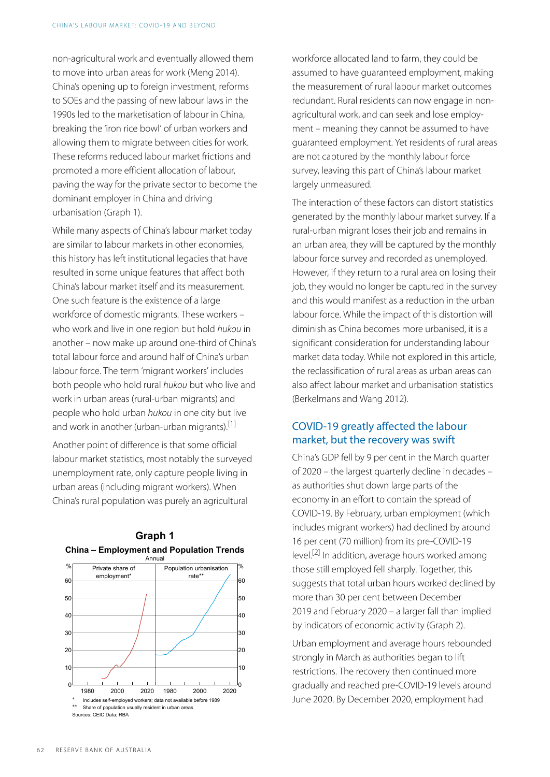non-agricultural work and eventually allowed them to move into urban areas for work (Meng 2014). China's opening up to foreign investment, reforms to SOEs and the passing of new labour laws in the 1990s led to the marketisation of labour in China, breaking the 'iron rice bowl' of urban workers and allowing them to migrate between cities for work. These reforms reduced labour market frictions and promoted a more efficient allocation of labour, paving the way for the private sector to become the dominant employer in China and driving urbanisation (Graph 1).

While many aspects of China's labour market today are similar to labour markets in other economies, this history has left institutional legacies that have resulted in some unique features that affect both China's labour market itself and its measurement. One such feature is the existence of a large workforce of domestic migrants. These workers – who work and live in one region but hold *hukou* in another – now make up around one-third of China's total labour force and around half of China's urban labour force. The term 'migrant workers' includes both people who hold rural *hukou* but who live and work in urban areas (rural-urban migrants) and people who hold urban *hukou* in one city but live and work in another (urban-urban migrants).<sup>[1]</sup>

<span id="page-1-0"></span>Another point of difference is that some official labour market statistics, most notably the surveyed unemployment rate, only capture people living in urban areas (including migrant workers). When China's rural population was purely an agricultural

<span id="page-1-1"></span>

**Graph 1 China – Employment and Population Trends** workforce allocated land to farm, they could be assumed to have guaranteed employment, making the measurement of rural labour market outcomes redundant. Rural residents can now engage in nonagricultural work, and can seek and lose employment – meaning they cannot be assumed to have guaranteed employment. Yet residents of rural areas are not captured by the monthly labour force survey, leaving this part of China's labour market largely unmeasured.

The interaction of these factors can distort statistics generated by the monthly labour market survey. If a rural-urban migrant loses their job and remains in an urban area, they will be captured by the monthly labour force survey and recorded as unemployed. However, if they return to a rural area on losing their job, they would no longer be captured in the survey and this would manifest as a reduction in the urban labour force. While the impact of this distortion will diminish as China becomes more urbanised, it is a significant consideration for understanding labour market data today. While not explored in this article, the reclassification of rural areas as urban areas can also affect labour market and urbanisation statistics (Berkelmans and Wang 2012).

#### COVID-19 greatly affected the labour market, but the recovery was swift

China's GDP fell by 9 per cent in the March quarter of 2020 – the largest quarterly decline in decades – as authorities shut down large parts of the economy in an effort to contain the spread of COVID-19 . By February, urban employment (which includes migrant workers) had declined by around 16 per cent (70 million) from its pre-COVID-19 level.<sup>[\[2\]](#page-8-2)</sup> In addition, average hours worked among those still employed fell sharply. Together, this suggests that total urban hours worked declined by more than 30 per cent between December 2019 and February 2020 – a larger fall than implied by indicators of economic activity (Graph 2).

Urban employment and average hours rebounded strongly in March as authorities began to lift restrictions. The recovery then continued more gradually and reached pre-COVID-19 levels around June 2020. By December 2020, employment had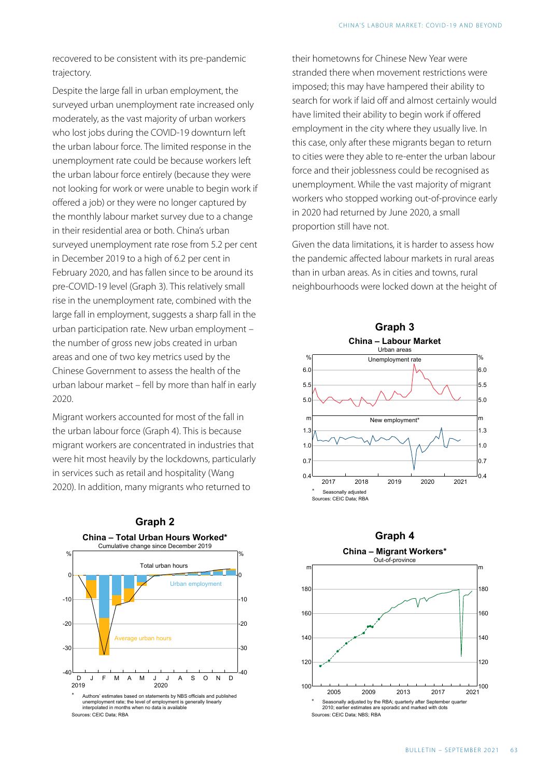recovered to be consistent with its pre-pandemic trajectory.

Despite the large fall in urban employment, the surveyed urban unemployment rate increased only moderately, as the vast majority of urban workers who lost jobs during the COVID-19 downturn left the urban labour force. The limited response in the unemployment rate could be because workers left the urban labour force entirely (because they were not looking for work or were unable to begin work if offered a job) or they were no longer captured by the monthly labour market survey due to a change in their residential area or both. China's urban surveyed unemployment rate rose from 5.2 per cent in December 2019 to a high of 6.2 per cent in February 2020, and has fallen since to be around its pre-COVID-19 level (Graph 3). This relatively small rise in the unemployment rate, combined with the large fall in employment, suggests a sharp fall in the urban participation rate. New urban employment – the number of gross new jobs created in urban areas and one of two key metrics used by the Chinese Government to assess the health of the urban labour market – fell by more than half in early 2020.

Migrant workers accounted for most of the fall in the urban labour force (Graph 4). This is because migrant workers are concentrated in industries that were hit most heavily by the lockdowns, particularly in services such as retail and hospitality (Wang 2020). In addition, many migrants who returned to



their hometowns for Chinese New Year were stranded there when movement restrictions were imposed; this may have hampered their ability to search for work if laid off and almost certainly would have limited their ability to begin work if offered employment in the city where they usually live. In this case, only after these migrants began to return to cities were they able to re-enter the urban labour force and their joblessness could be recognised as unemployment. While the vast majority of migrant workers who stopped working out-of-province early in 2020 had returned by June 2020, a small proportion still have not.

Given the data limitations, it is harder to assess how the pandemic affected labour markets in rural areas than in urban areas. As in cities and towns, rural neighbourhoods were locked down at the height of



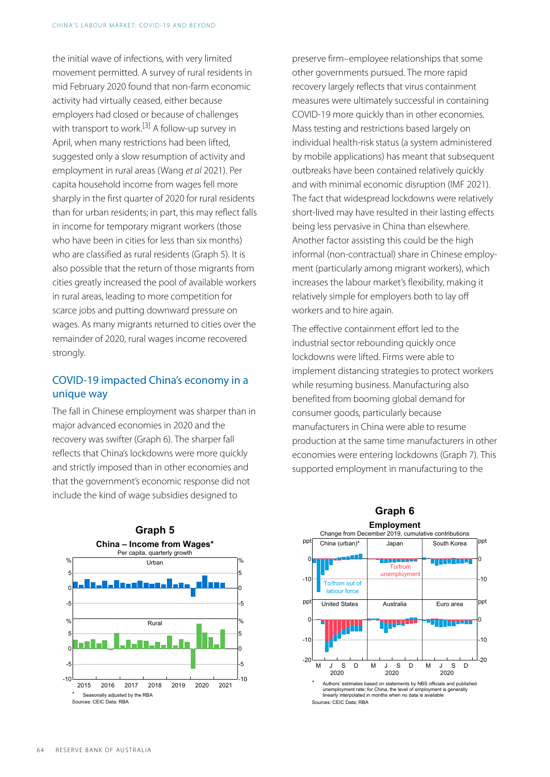<span id="page-3-0"></span>the initial wave of infections, with very limited movement permitted. A survey of rural residents in mid February 2020 found that non-farm economic activity had virtually ceased, either because employers had closed or because of challenges with transport to work.<sup>[\[3\]](#page-8-3)</sup> A follow-up survey in April, when many restrictions had been lifted, suggested only a slow resumption of activity and employment in rural areas (Wang *et al* 2021). Per capita household income from wages fell more sharply in the first quarter of 2020 for rural residents than for urban residents; in part, this may reflect falls in income for temporary migrant workers (those who have been in cities for less than six months) who are classified as rural residents (Graph 5). It is also possible that the return of those migrants from cities greatly increased the pool of available workers in rural areas, leading to more competition for scarce jobs and putting downward pressure on wages. As many migrants returned to cities over the remainder of 2020, rural wages income recovered strongly.

#### COVID-19 impacted China's economy in a unique way

The fall in Chinese employment was sharper than in major advanced economies in 2020 and the recovery was swifter (Graph 6). The sharper fall reflects that China's lockdowns were more quickly and strictly imposed than in other economies and that the government's economic response did not include the kind of wage subsidies designed to



preserve firm–employee relationships that some other governments pursued. The more rapid recovery largely reflects that virus containment measures were ultimately successful in containing COVID-19 more quickly than in other economies. Mass testing and restrictions based largely on individual health-risk status (a system administered by mobile applications) has meant that subsequent outbreaks have been contained relatively quickly and with minimal economic disruption (IMF 2021). The fact that widespread lockdowns were relatively short-lived may have resulted in their lasting effects being less pervasive in China than elsewhere. Another factor assisting this could be the high informal (non-contractual) share in Chinese employment (particularly among migrant workers), which increases the labour market's flexibility, making it relatively simple for employers both to lay off workers and to hire again.

The effective containment effort led to the industrial sector rebounding quickly once lockdowns were lifted. Firms were able to implement distancing strategies to protect workers while resuming business. Manufacturing also benefited from booming global demand for consumer goods, particularly because manufacturers in China were able to resume production at the same time manufacturers in other economies were entering lockdowns (Graph 7). This supported employment in manufacturing to the

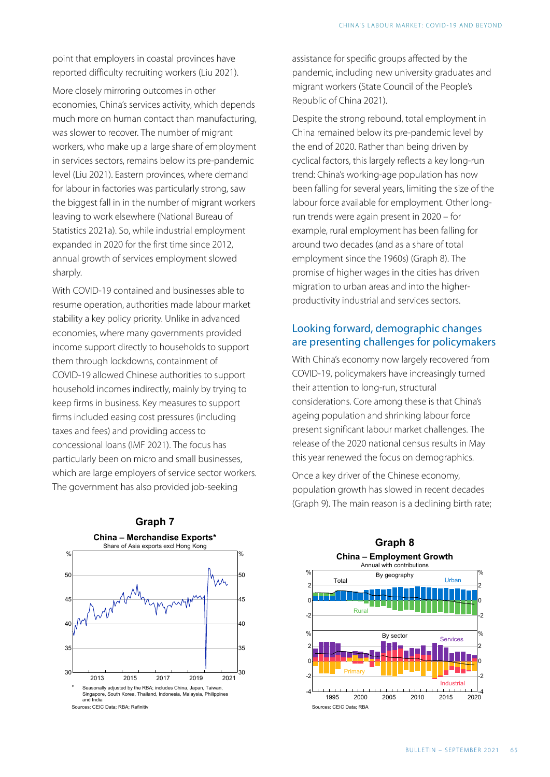point that employers in coastal provinces have reported difficulty recruiting workers (Liu 2021).

More closely mirroring outcomes in other economies, China's services activity, which depends much more on human contact than manufacturing, was slower to recover. The number of migrant workers, who make up a large share of employment in services sectors, remains below its pre-pandemic level (Liu 2021). Eastern provinces, where demand for labour in factories was particularly strong, saw the biggest fall in in the number of migrant workers leaving to work elsewhere (National Bureau of Statistics 2021a). So, while industrial employment expanded in 2020 for the first time since 2012, annual growth of services employment slowed sharply.

With COVID-19 contained and businesses able to resume operation, authorities made labour market stability a key policy priority. Unlike in advanced economies, where many governments provided income support directly to households to support them through lockdowns, containment of COVID-19 allowed Chinese authorities to support household incomes indirectly, mainly by trying to keep firms in business. Key measures to support firms included easing cost pressures (including taxes and fees) and providing access to concessional loans (IMF 2021). The focus has particularly been on micro and small businesses, which are large employers of service sector workers. The government has also provided job-seeking

assistance for specific groups affected by the pandemic, including new university graduates and migrant workers (State Council of the People's Republic of China 2021).

Despite the strong rebound, total employment in China remained below its pre-pandemic level by the end of 2020. Rather than being driven by cyclical factors, this largely reflects a key long-run trend: China's working-age population has now been falling for several years, limiting the size of the labour force available for employment. Other longrun trends were again present in 2020 – for example, rural employment has been falling for around two decades (and as a share of total employment since the 1960s) (Graph 8). The promise of higher wages in the cities has driven migration to urban areas and into the higherproductivity industrial and services sectors.

#### Looking forward, demographic changes are presenting challenges for policymakers

With China's economy now largely recovered from COVID-19 , policymakers have increasingly turned their attention to long-run, structural considerations. Core among these is that China's ageing population and shrinking labour force present significant labour market challenges. The release of the 2020 national census results in May this year renewed the focus on demographics.

Once a key driver of the Chinese economy, population growth has slowed in recent decades (Graph 9). The main reason is a declining birth rate;



#### **Graph 7**

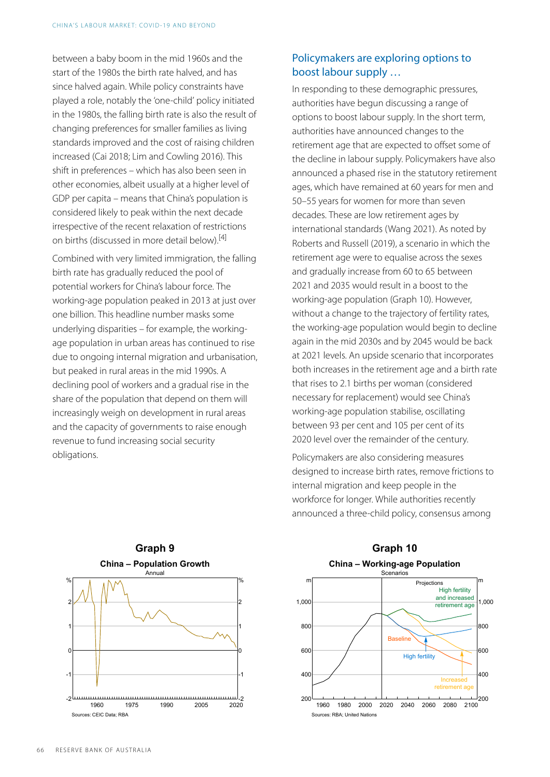between a baby boom in the mid 1960s and the start of the 1980s the birth rate halved, and has since halved again. While policy constraints have played a role, notably the 'one-child' policy initiated in the 1980s, the falling birth rate is also the result of changing preferences for smaller families as living standards improved and the cost of raising children increased (Cai 2018; Lim and Cowling 2016). This shift in preferences – which has also been seen in other economies, albeit usually at a higher level of GDP per capita – means that China's population is considered likely to peak within the next decade irrespective of the recent relaxation of restrictions on births (discussed in more detail below).[\[4\]](#page-8-4) 

<span id="page-5-0"></span>Combined with very limited immigration, the falling birth rate has gradually reduced the pool of potential workers for China's labour force. The working-age population peaked in 2013 at just over one billion. This headline number masks some underlying disparities – for example, the workingage population in urban areas has continued to rise due to ongoing internal migration and urbanisation, but peaked in rural areas in the mid 1990s. A declining pool of workers and a gradual rise in the share of the population that depend on them will increasingly weigh on development in rural areas and the capacity of governments to raise enough revenue to fund increasing social security obligations.

#### Policymakers are exploring options to boost labour supply …

In responding to these demographic pressures, authorities have begun discussing a range of options to boost labour supply. In the short term, authorities have announced changes to the retirement age that are expected to offset some of the decline in labour supply. Policymakers have also announced a phased rise in the statutory retirement ages, which have remained at 60 years for men and 50–55 years for women for more than seven decades. These are low retirement ages by international standards (Wang 2021). As noted by Roberts and Russell (2019), a scenario in which the retirement age were to equalise across the sexes and gradually increase from 60 to 65 between 2021 and 2035 would result in a boost to the working-age population (Graph 10). However, without a change to the trajectory of fertility rates, the working-age population would begin to decline again in the mid 2030s and by 2045 would be back at 2021 levels. An upside scenario that incorporates both increases in the retirement age and a birth rate that rises to 2.1 births per woman (considered necessary for replacement) would see China's working-age population stabilise, oscillating between 93 per cent and 105 per cent of its 2020 level over the remainder of the century.

Policymakers are also considering measures designed to increase birth rates, remove frictions to internal migration and keep people in the workforce for longer. While authorities recently announced a three-child policy, consensus among



### **Graph 10 China – Working-age Population**

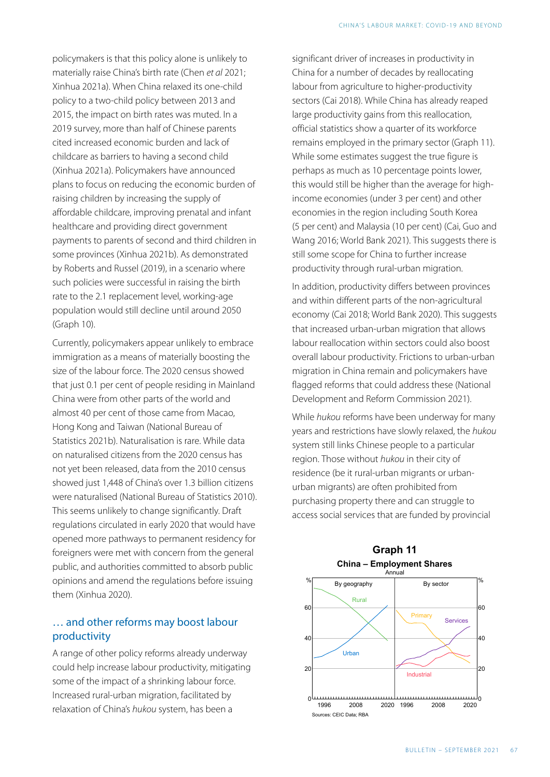policymakers is that this policy alone is unlikely to materially raise China's birth rate (Chen *et al* 2021; Xinhua 2021a). When China relaxed its one-child policy to a two-child policy between 2013 and 2015, the impact on birth rates was muted. In a 2019 survey, more than half of Chinese parents cited increased economic burden and lack of childcare as barriers to having a second child (Xinhua 2021a). Policymakers have announced plans to focus on reducing the economic burden of raising children by increasing the supply of affordable childcare, improving prenatal and infant healthcare and providing direct government payments to parents of second and third children in some provinces (Xinhua 2021b). As demonstrated by Roberts and Russel (2019), in a scenario where such policies were successful in raising the birth rate to the 2.1 replacement level, working-age population would still decline until around 2050 (Graph 10).

Currently, policymakers appear unlikely to embrace immigration as a means of materially boosting the size of the labour force. The 2020 census showed that just 0.1 per cent of people residing in Mainland China were from other parts of the world and almost 40 per cent of those came from Macao, Hong Kong and Taiwan (National Bureau of Statistics 2021b). Naturalisation is rare. While data on naturalised citizens from the 2020 census has not yet been released, data from the 2010 census showed just 1,448 of China's over 1.3 billion citizens were naturalised (National Bureau of Statistics 2010). This seems unlikely to change significantly. Draft regulations circulated in early 2020 that would have opened more pathways to permanent residency for foreigners were met with concern from the general public, and authorities committed to absorb public opinions and amend the regulations before issuing them (Xinhua 2020).

#### … and other reforms may boost labour productivity

A range of other policy reforms already underway could help increase labour productivity, mitigating some of the impact of a shrinking labour force. Increased rural-urban migration, facilitated by relaxation of China's *hukou* system, has been a

significant driver of increases in productivity in China for a number of decades by reallocating labour from agriculture to higher-productivity sectors (Cai 2018). While China has already reaped large productivity gains from this reallocation, official statistics show a quarter of its workforce remains employed in the primary sector (Graph 11). While some estimates suggest the true figure is perhaps as much as 10 percentage points lower, this would still be higher than the average for highincome economies (under 3 per cent) and other economies in the region including South Korea (5 per cent) and Malaysia (10 per cent) (Cai, Guo and Wang 2016; World Bank 2021). This suggests there is still some scope for China to further increase productivity through rural-urban migration.

In addition, productivity differs between provinces and within different parts of the non-agricultural economy (Cai 2018; World Bank 2020). This suggests that increased urban-urban migration that allows labour reallocation within sectors could also boost overall labour productivity. Frictions to urban-urban migration in China remain and policymakers have flagged reforms that could address these (National Development and Reform Commission 2021).

While *hukou* reforms have been underway for many years and restrictions have slowly relaxed, the *hukou*  system still links Chinese people to a particular region. Those without *hukou* in their city of residence (be it rural-urban migrants or urbanurban migrants) are often prohibited from purchasing property there and can struggle to access social services that are funded by provincial



## **Graph 11**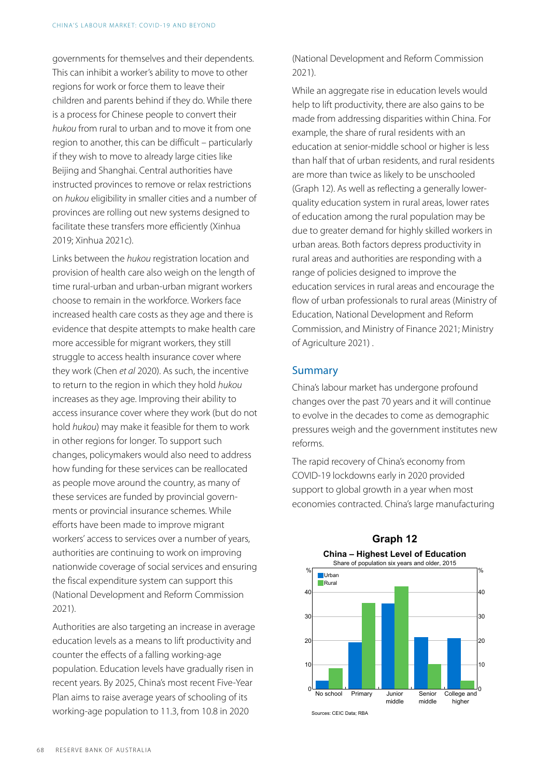governments for themselves and their dependents. This can inhibit a worker's ability to move to other regions for work or force them to leave their children and parents behind if they do. While there is a process for Chinese people to convert their *hukou* from rural to urban and to move it from one region to another, this can be difficult – particularly if they wish to move to already large cities like Beijing and Shanghai. Central authorities have instructed provinces to remove or relax restrictions on *hukou* eligibility in smaller cities and a number of provinces are rolling out new systems designed to facilitate these transfers more efficiently (Xinhua 2019; Xinhua 2021c).

Links between the *hukou* registration location and provision of health care also weigh on the length of time rural-urban and urban-urban migrant workers choose to remain in the workforce. Workers face increased health care costs as they age and there is evidence that despite attempts to make health care more accessible for migrant workers, they still struggle to access health insurance cover where they work (Chen *et al* 2020). As such, the incentive to return to the region in which they hold *hukou*  increases as they age. Improving their ability to access insurance cover where they work (but do not hold *hukou*) may make it feasible for them to work in other regions for longer. To support such changes, policymakers would also need to address how funding for these services can be reallocated as people move around the country, as many of these services are funded by provincial governments or provincial insurance schemes. While efforts have been made to improve migrant workers' access to services over a number of years, authorities are continuing to work on improving nationwide coverage of social services and ensuring the fiscal expenditure system can support this (National Development and Reform Commission 2021).

Authorities are also targeting an increase in average education levels as a means to lift productivity and counter the effects of a falling working-age population. Education levels have gradually risen in recent years. By 2025, China's most recent Five-Year Plan aims to raise average years of schooling of its working-age population to 11.3, from 10.8 in 2020

(National Development and Reform Commission 2021).

While an aggregate rise in education levels would help to lift productivity, there are also gains to be made from addressing disparities within China. For example, the share of rural residents with an education at senior-middle school or higher is less than half that of urban residents, and rural residents are more than twice as likely to be unschooled (Graph 12). As well as reflecting a generally lowerquality education system in rural areas, lower rates of education among the rural population may be due to greater demand for highly skilled workers in urban areas. Both factors depress productivity in rural areas and authorities are responding with a range of policies designed to improve the education services in rural areas and encourage the flow of urban professionals to rural areas (Ministry of Education, National Development and Reform Commission, and Ministry of Finance 2021; Ministry of Agriculture 2021) .

#### Summary

China's labour market has undergone profound changes over the past 70 years and it will continue to evolve in the decades to come as demographic pressures weigh and the government institutes new reforms.

The rapid recovery of China's economy from COVID-19 lockdowns early in 2020 provided support to global growth in a year when most economies contracted. China's large manufacturing



## **Graph 12**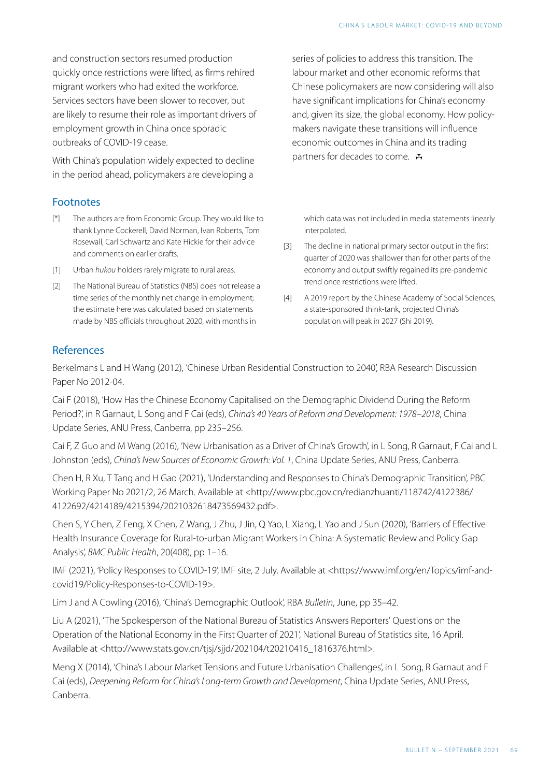and construction sectors resumed production quickly once restrictions were lifted, as firms rehired migrant workers who had exited the workforce. Services sectors have been slower to recover, but are likely to resume their role as important drivers of employment growth in China once sporadic outbreaks of COVID-19 cease.

With China's population widely expected to decline in the period ahead, policymakers are developing a

#### Footnotes

- <span id="page-8-0"></span>The authors are from Economic Group. They would like to thank Lynne Cockerell, David Norman, Ivan Roberts, Tom Rosewall, Carl Schwartz and Kate Hickie for their advice and comments on earlier drafts.  $\lceil * \rceil$
- <span id="page-8-3"></span><span id="page-8-1"></span>[\[1\]](#page-1-0) Urban *hukou* holders rarely migrate to rural areas.
- <span id="page-8-4"></span><span id="page-8-2"></span>The National Bureau of Statistics (NBS) does not release a time series of the monthly net change in employment; the estimate here was calculated based on statements made by NBS officials throughout 2020, with months in [\[2\]](#page-1-1)

series of policies to address this transition. The labour market and other economic reforms that Chinese policymakers are now considering will also have significant implications for China's economy and, given its size, the global economy. How policymakers navigate these transitions will influence economic outcomes in China and its trading partners for decades to come.  $\mathbf{\ddot{w}}$ 

which data was not included in media statements linearly interpolated.

- The decline in national primary sector output in the first [\[3\]](#page-3-0) quarter of 2020 was shallower than for other parts of the economy and output swiftly regained its pre-pandemic trend once restrictions were lifted.
- A 2019 report by the Chinese Academy of Social Sciences, [\[4\]](#page-5-0) a state-sponsored think-tank, projected China's population will peak in 2027 (Shi 2019).

#### References

Berkelmans L and H Wang (2012), 'Chinese Urban Residential Construction to 2040', [RBA Research Discussion](https://www.rba.gov.au/publications/rdp/2012/2012-04.html) [Paper No 2012-04](https://www.rba.gov.au/publications/rdp/2012/2012-04.html).

Cai F (2018), 'How Has the Chinese Economy Capitalised on the Demographic Dividend During the Reform Period?', in R Garnaut, L Song and F Cai (eds), *China's 40 Years of Reform and Development: 1978–2018* , China Update Series, ANU Press, Canberra, pp 235–256.

Cai F, Z Guo and M Wang (2016), 'New Urbanisation as a Driver of China's Growth', in L Song, R Garnaut, F Cai and L Johnston (eds), *China's New Sources of Economic Growth: Vol. 1*, China Update Series, ANU Press, Canberra.

Chen H, R Xu, T Tang and H Gao (2021), 'Understanding and Responses to China's Demographic Transition', PBC Working Paper No 2021/2 , 26 March. Available at <http://www.pbc.gov.cn/redianzhuanti/118742/4122386/ 4122692/4214189/4215394/2021032618473569432.pdf>.

Chen S, Y Chen, Z Feng, X Chen, Z Wang, J Zhu, J Jin, Q Yao, L Xiang, L Yao and J Sun (2020), 'Barriers of Effective Health Insurance Coverage for Rural-to-urban Migrant Workers in China: A Systematic Review and Policy Gap Analysis', *BMC Public Health*, 20(408), pp 1–16.

IMF (2021), 'Policy Responses to COVID-19', IMF site, 2 July. Available at <https://www.imf.org/en/Topics/imf-andcovid19/Policy-Responses-to-COVID-19>.

Lim J and A Cowling (2016), 'China's Demographic Outlook', RBA *[Bulletin](https://www.rba.gov.au/publications/bulletin/2016/jun/5.html)*, June, pp 35–42.

Liu A (2021), 'The Spokesperson of the National Bureau of Statistics Answers Reporters' Questions on the Operation of the National Economy in the First Quarter of 2021', National Bureau of Statistics site, 16 April. Available at <http://www.stats.gov.cn/tjsj/sjjd/202104/t20210416\_1816376.html>.

Meng X (2014), 'China's Labour Market Tensions and Future Urbanisation Challenges', in L Song, R Garnaut and F Cai (eds), *Deepening Reform for China's Long-term Growth and Development*, China Update Series, ANU Press, Canberra.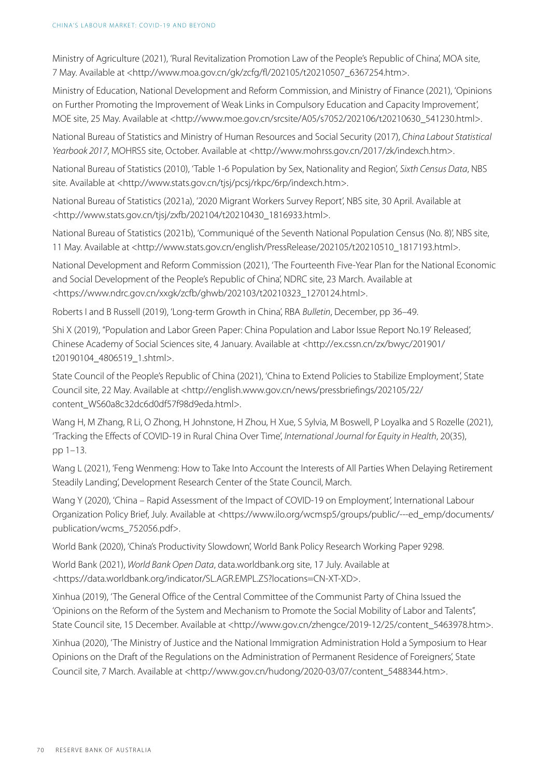Ministry of Agriculture (2021), 'Rural Revitalization Promotion Law of the People's Republic of China', MOA site, 7 May. Available at <http://www.moa.gov.cn/gk/zcfg/fl/202105/t20210507\_6367254.htm>.

Ministry of Education, National Development and Reform Commission, and Ministry of Finance (2021), 'Opinions on Further Promoting the Improvement of Weak Links in Compulsory Education and Capacity Improvement', MOE site, 25 May. Available at <http://www.moe.gov.cn/srcsite/A05/s7052/202106/t20210630\_541230.html>.

National Bureau of Statistics and Ministry of Human Resources and Social Security (2017), *China Labout Statistical Yearbook 2017*, MOHRSS site, October. Available at <http://www.mohrss.gov.cn/2017/zk/indexch.htm>.

National Bureau of Statistics (2010), 'Table 1-6 Population by Sex, Nationality and Region', *Sixth Census Data*, NBS site. Available at <http://www.stats.gov.cn/tjsj/pcsj/rkpc/6rp/indexch.htm>.

National Bureau of Statistics (2021a), '2020 Migrant Workers Survey Report', NBS site, 30 April. Available at <http://www.stats.gov.cn/tjsj/zxfb/202104/t20210430\_1816933.html>.

National Bureau of Statistics (2021b), 'Communiqué of the Seventh National Population Census (No. 8)', NBS site, 11 May. Available at <http://www.stats.gov.cn/english/PressRelease/202105/t20210510\_1817193.html>.

National Development and Reform Commission (2021), 'The Fourteenth Five-Year Plan for the National Economic and Social Development of the People's Republic of China', NDRC site, 23 March. Available at <https://www.ndrc.gov.cn/xxgk/zcfb/ghwb/202103/t20210323\_1270124.html>.

Roberts I and B Russell (2019), 'Long-term Growth in China', RBA *[Bulletin](https://www.rba.gov.au/publications/bulletin/2019/dec/long-term-growth-in-china.html)*, December, pp 36–49.

Shi X (2019), ''Population and Labor Green Paper: China Population and Labor Issue Report No.19' Released', Chinese Academy of Social Sciences site, 4 January. Available at <http://ex.cssn.cn/zx/bwyc/201901/ t20190104\_4806519\_1.shtml>.

State Council of the People's Republic of China (2021), 'China to Extend Policies to Stabilize Employment', State Council site, 22 May. Available at <http://english.www.gov.cn/news/pressbriefings/202105/22/ content\_WS60a8c32dc6d0df57f98d9eda.html>.

Wang H, M Zhang, R Li, O Zhong, H Johnstone, H Zhou, H Xue, S Sylvia, M Boswell, P Loyalka and S Rozelle (2021), 'Tracking the Effects of COVID-19 in Rural China Over Time', *International Journal for Equity in Health*, 20(35), pp 1–13.

Wang L (2021), 'Feng Wenmeng: How to Take Into Account the Interests of All Parties When Delaying Retirement Steadily Landing', Development Research Center of the State Council, March.

Wang Y (2020), 'China – Rapid Assessment of the Impact of COVID-19 on Employment', International Labour Organization Policy Brief, July. Available at <https://www.ilo.org/wcmsp5/groups/public/---ed\_emp/documents/ publication/wcms\_752056.pdf>.

World Bank (2020), 'China's Productivity Slowdown', World Bank Policy Research Working Paper 9298.

World Bank (2021), *World Bank Open Data*, data.worldbank.org site, 17 July. Available at <https://data.worldbank.org/indicator/SL.AGR.EMPL.ZS?locations=CN-XT-XD>.

Xinhua (2019), 'The General Office of the Central Committee of the Communist Party of China Issued the 'Opinions on the Reform of the System and Mechanism to Promote the Social Mobility of Labor and Talents'', State Council site, 15 December. Available at <http://www.gov.cn/zhengce/2019-12/25/content\_5463978.htm>.

Xinhua (2020), 'The Ministry of Justice and the National Immigration Administration Hold a Symposium to Hear Opinions on the Draft of the Regulations on the Administration of Permanent Residence of Foreigners', State Council site, 7 March. Available at <http://www.gov.cn/hudong/2020-03/07/content\_5488344.htm>.